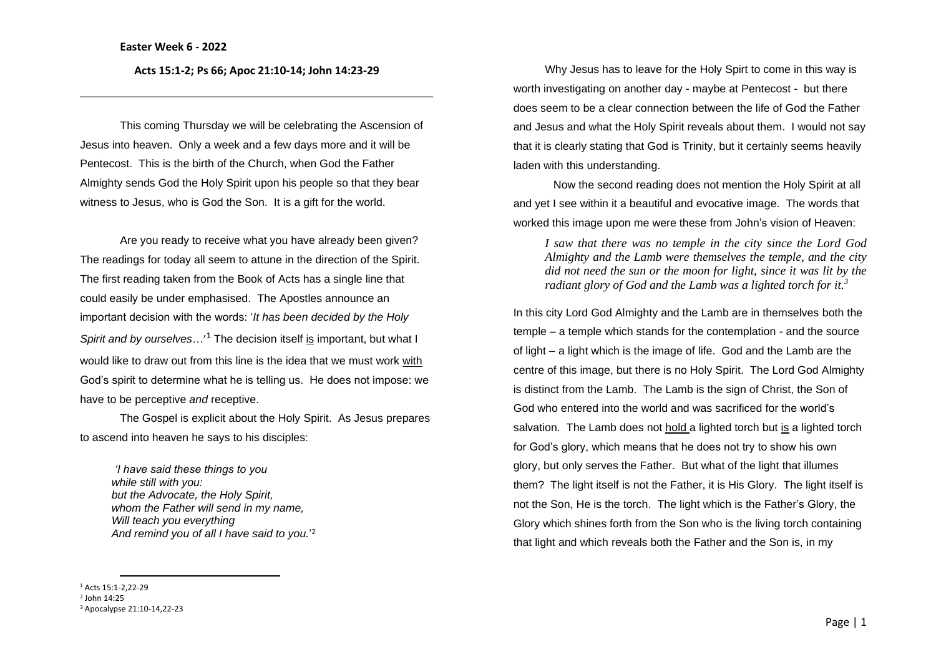**Acts 15:1-2; Ps 66; Apoc 21:10-14; John 14:23-29**

This coming Thursday we will be celebrating the Ascension of Jesus into heaven. Only a week and a few days more and it will be Pentecost. This is the birth of the Church, when God the Father Almighty sends God the Holy Spirit upon his people so that they bear witness to Jesus, who is God the Son. It is a gift for the world.

Are you ready to receive what you have already been given? The readings for today all seem to attune in the direction of the Spirit. The first reading taken from the Book of Acts has a single line that could easily be under emphasised. The Apostles announce an important decision with the words: '*It has been decided by the Holy*  Spirit and by ourselves...<sup>'1</sup> The decision itself is important, but what I would like to draw out from this line is the idea that we must work with God's spirit to determine what he is telling us. He does not impose: we have to be perceptive *and* receptive.

The Gospel is explicit about the Holy Spirit. As Jesus prepares to ascend into heaven he says to his disciples:

*'I have said these things to you while still with you: but the Advocate, the Holy Spirit, whom the Father will send in my name, Will teach you everything And remind you of all I have said to you.*' 2

<sup>1</sup> Acts 15:1-2,22-29 2 John 14:25 <sup>3</sup> Apocalypse 21:10-14,22-23

Why Jesus has to leave for the Holy Spirt to come in this way is worth investigating on another day - maybe at Pentecost - but there does seem to be a clear connection between the life of God the Father and Jesus and what the Holy Spirit reveals about them. I would not say that it is clearly stating that God is Trinity, but it certainly seems heavily laden with this understanding.

Now the second reading does not mention the Holy Spirit at all and yet I see within it a beautiful and evocative image. The words that worked this image upon me were these from John's vision of Heaven:

*I saw that there was no temple in the city since the Lord God Almighty and the Lamb were themselves the temple, and the city did not need the sun or the moon for light, since it was lit by the radiant glory of God and the Lamb was a lighted torch for it.<sup>3</sup>*

In this city Lord God Almighty and the Lamb are in themselves both the temple – a temple which stands for the contemplation - and the source of light – a light which is the image of life. God and the Lamb are the centre of this image, but there is no Holy Spirit. The Lord God Almighty is distinct from the Lamb. The Lamb is the sign of Christ, the Son of God who entered into the world and was sacrificed for the world's salvation. The Lamb does not hold a lighted torch but is a lighted torch for God's glory, which means that he does not try to show his own glory, but only serves the Father. But what of the light that illumes them? The light itself is not the Father, it is His Glory. The light itself is not the Son, He is the torch. The light which is the Father's Glory, the Glory which shines forth from the Son who is the living torch containing that light and which reveals both the Father and the Son is, in my